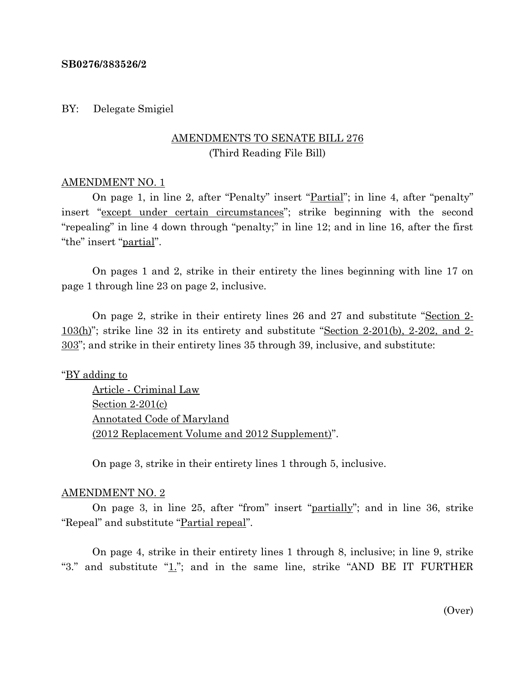## **SB0276/383526/2**

## BY: Delegate Smigiel

# AMENDMENTS TO SENATE BILL 276 (Third Reading File Bill)

## AMENDMENT NO. 1

On page 1, in line 2, after "Penalty" insert "Partial"; in line 4, after "penalty" insert "except under certain circumstances"; strike beginning with the second "repealing" in line 4 down through "penalty;" in line 12; and in line 16, after the first "the" insert "partial".

On pages 1 and 2, strike in their entirety the lines beginning with line 17 on page 1 through line 23 on page 2, inclusive.

On page 2, strike in their entirety lines 26 and 27 and substitute "Section 2-  $103(h)$ "; strike line 32 in its entirety and substitute "Section 2-201(b), 2-202, and 2-303"; and strike in their entirety lines 35 through 39, inclusive, and substitute:

## "BY adding to

Article - Criminal Law Section 2-201(c) Annotated Code of Maryland (2012 Replacement Volume and 2012 Supplement)".

On page 3, strike in their entirety lines 1 through 5, inclusive.

### AMENDMENT NO. 2

On page 3, in line 25, after "from" insert "partially"; and in line 36, strike "Repeal" and substitute "Partial repeal".

On page 4, strike in their entirety lines 1 through 8, inclusive; in line 9, strike "3." and substitute " $1$ ."; and in the same line, strike "AND BE IT FURTHER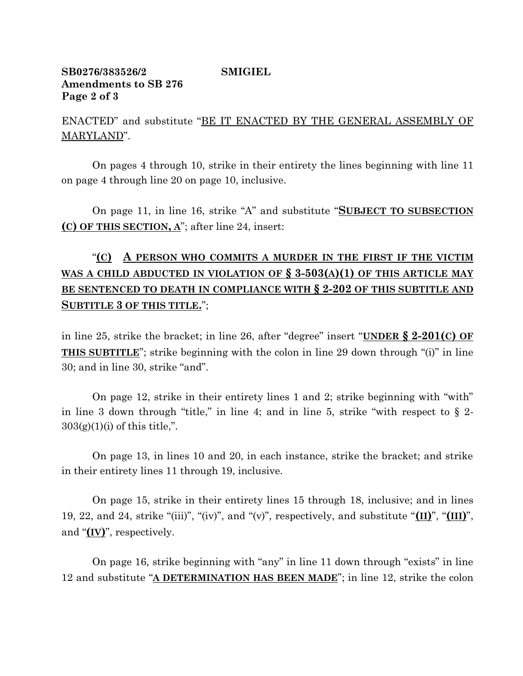# **SB0276/383526/2 SMIGIEL Amendments to SB 276 Page 2 of 3**

ENACTED" and substitute "BE IT ENACTED BY THE GENERAL ASSEMBLY OF MARYLAND".

On pages 4 through 10, strike in their entirety the lines beginning with line 11 on page 4 through line 20 on page 10, inclusive.

On page 11, in line 16, strike "A" and substitute "**SUBJECT TO SUBSECTION (C) OF THIS SECTION, A**"; after line 24, insert:

# "**(C) A PERSON WHO COMMITS A MURDER IN THE FIRST IF THE VICTIM WAS A CHILD ABDUCTED IN VIOLATION OF § 3-503(A)(1) OF THIS ARTICLE MAY BE SENTENCED TO DEATH IN COMPLIANCE WITH § 2-202 OF THIS SUBTITLE AND SUBTITLE 3 OF THIS TITLE.**";

in line 25, strike the bracket; in line 26, after "degree" insert "**UNDER § 2-201(C) OF THIS SUBTITLE**"; strike beginning with the colon in line 29 down through "(i)" in line 30; and in line 30, strike "and".

On page 12, strike in their entirety lines 1 and 2; strike beginning with "with" in line 3 down through "title," in line 4; and in line 5, strike "with respect to  $\S$  2- $303(g)(1)(i)$  of this title,".

On page 13, in lines 10 and 20, in each instance, strike the bracket; and strike in their entirety lines 11 through 19, inclusive.

On page 15, strike in their entirety lines 15 through 18, inclusive; and in lines 19, 22, and 24, strike "(iii)", "(iv)", and "(v)", respectively, and substitute "**(II)**", "**(III)**", and "**(IV)**", respectively.

On page 16, strike beginning with "any" in line 11 down through "exists" in line 12 and substitute "**A DETERMINATION HAS BEEN MADE**"; in line 12, strike the colon